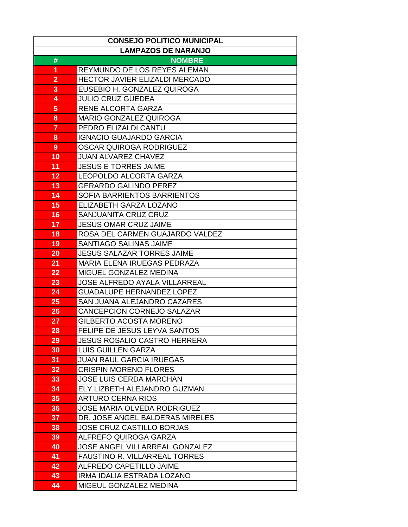| <b>CONSEJO POLITICO MUNICIPAL</b> |                                       |  |
|-----------------------------------|---------------------------------------|--|
| <b>LAMPAZOS DE NARANJO</b>        |                                       |  |
| #                                 | <b>NOMBRE</b>                         |  |
| 1                                 | REYMUNDO DE LOS REYES ALEMAN          |  |
| $\overline{2}$                    | <b>HECTOR JAVIER ELIZALDI MERCADO</b> |  |
| 3                                 | EUSEBIO H. GONZALEZ QUIROGA           |  |
| 4                                 | <b>JULIO CRUZ GUEDEA</b>              |  |
| 5                                 | RENE ALCORTA GARZA                    |  |
| 6                                 | <b>MARIO GONZALEZ QUIROGA</b>         |  |
| 7                                 | PEDRO ELIZALDI CANTU                  |  |
| 8                                 | <b>IGNACIO GUAJARDO GARCIA</b>        |  |
| 9                                 | OSCAR QUIROGA RODRIGUEZ               |  |
| 10                                | <b>JUAN ALVAREZ CHAVEZ</b>            |  |
| 11                                | <b>JESUS E TORRES JAIME</b>           |  |
| 12                                | <b>LEOPOLDO ALCORTA GARZA</b>         |  |
| 13                                | <b>GERARDO GALINDO PEREZ</b>          |  |
| 14                                | SOFIA BARRIENTOS BARRIENTOS           |  |
| 15                                | ELIZABETH GARZA LOZANO                |  |
| 16                                | SANJUANITA CRUZ CRUZ                  |  |
| 17                                | <b>JESUS OMAR CRUZ JAIME</b>          |  |
| 18                                | ROSA DEL CARMEN GUAJARDO VALDEZ       |  |
| 19                                | <b>SANTIAGO SALINAS JAIME</b>         |  |
| 20                                | <b>JESUS SALAZAR TORRES JAIME</b>     |  |
| 21                                | MARIA ELENA IRUEGAS PEDRAZA           |  |
| 22                                | MIGUEL GONZALEZ MEDINA                |  |
| 23                                | <b>JOSE ALFREDO AYALA VILLARREAL</b>  |  |
| 24                                | <b>GUADALUPE HERNANDEZ LOPEZ</b>      |  |
| 25                                | SAN JUANA ALEJANDRO CAZARES           |  |
| 26                                | CANCEPCION CORNEJO SALAZAR            |  |
| 27                                | GILBERTO ACOSTA MORENO                |  |
| 28                                | FELIPE DE JESUS LEYVA SANTOS          |  |
| 29                                | <b>JESUS ROSALIO CASTRO HERRERA</b>   |  |
| 30                                | <b>LUIS GUILLEN GARZA</b>             |  |
| 31                                | <b>JUAN RAUL GARCIA IRUEGAS</b>       |  |
| 32                                | <b>CRISPIN MORENO FLORES</b>          |  |
| 33                                | <b>JOSE LUIS CERDA MARCHAN</b>        |  |
| 34                                | ELY LIZBETH ALEJANDRO GUZMAN          |  |
| 35                                | <b>ARTURO CERNA RIOS</b>              |  |
| 36                                | <b>JOSE MARIA OLVEDA RODRIGUEZ</b>    |  |
| $\overline{37}$                   | DR. JOSE ANGEL BALDERAS MIRELES       |  |
| 38                                | <b>JOSE CRUZ CASTILLO BORJAS</b>      |  |
| 39                                | <b>ALFREFO QUIROGA GARZA</b>          |  |
| 40                                | <b>JOSE ANGEL VILLARREAL GONZALEZ</b> |  |
| 41                                | <b>FAUSTINO R. VILLARREAL TORRES</b>  |  |
| 42                                | ALFREDO CAPETILLO JAIME               |  |
| 43                                | IRMA IDALIA ESTRADA LOZANO            |  |
| 44                                | MIGEUL GONZALEZ MEDINA                |  |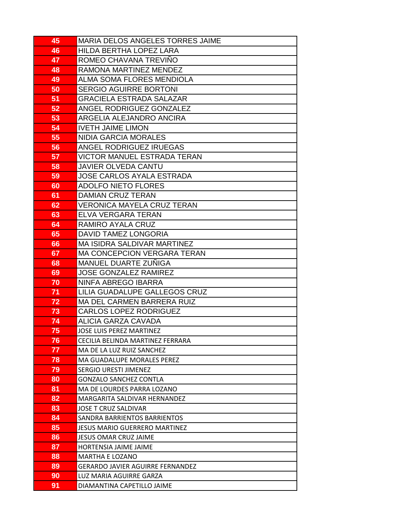| 45       | <b>MARIA DELOS ANGELES TORRES JAIME</b>                 |
|----------|---------------------------------------------------------|
| 46       | HILDA BERTHA LOPEZ LARA                                 |
| 47       | ROMEO CHAVANA TREVIÑO                                   |
| 48       | RAMONA MARTINEZ MENDEZ                                  |
| 49       | ALMA SOMA FLORES MENDIOLA                               |
| 50       | <b>SERGIO AGUIRRE BORTONI</b>                           |
| 51       | <b>GRACIELA ESTRADA SALAZAR</b>                         |
| 52       | ANGEL RODRIGUEZ GONZALEZ                                |
| 53       | ARGELIA ALEJANDRO ANCIRA                                |
| 54       | <b>IVETH JAIME LIMON</b>                                |
| 55       | <b>NIDIA GARCIA MORALES</b>                             |
| 56       | ANGEL RODRIGUEZ IRUEGAS                                 |
| 57       | <b>VICTOR MANUEL ESTRADA TERAN</b>                      |
| 58       | <b>JAVIER OLVEDA CANTU</b>                              |
| 59       | <b>JOSE CARLOS AYALA ESTRADA</b>                        |
| 60       | <b>ADOLFO NIETO FLORES</b>                              |
| 61       | <b>DAMIAN CRUZ TERAN</b>                                |
| 62       | <b>VERONICA MAYELA CRUZ TERAN</b>                       |
| 63       | ELVA VERGARA TERAN                                      |
| 64       | RAMIRO AYALA CRUZ                                       |
| 65       | DAVID TAMEZ LONGORIA                                    |
| 66       | <b>MA ISIDRA SALDIVAR MARTINEZ</b>                      |
| 67       | <b>MA CONCEPCION VERGARA TERAN</b>                      |
| 68       | <b>MANUEL DUARTE ZUÑIGA</b>                             |
| 69       | <b>JOSE GONZALEZ RAMIREZ</b>                            |
| 70       | NINFA ABREGO IBARRA                                     |
| 71       | LILIA GUADALUPE GALLEGOS CRUZ                           |
| 72       | <b>MA DEL CARMEN BARRERA RUIZ</b>                       |
| 73       | <b>CARLOS LOPEZ RODRIGUEZ</b>                           |
| 74       | ALICIA GARZA CAVADA                                     |
| 75       | JOSE LUIS PEREZ MARTINEZ                                |
| 76       | CECILIA BELINDA MARTINEZ FERRARA                        |
| 77       | MA DE LA LUZ RUIZ SANCHEZ<br>MA GUADALUPE MORALES PEREZ |
| 78<br>79 | SERGIO URESTI JIMENEZ                                   |
| 80       | <b>GONZALO SANCHEZ CONTLA</b>                           |
| 81       | MA DE LOURDES PARRA LOZANO                              |
| 82       | MARGARITA SALDIVAR HERNANDEZ                            |
| 83       | JOSE T CRUZ SALDIVAR                                    |
| 84       | SANDRA BARRIENTOS BARRIENTOS                            |
| 85       | JESUS MARIO GUERRERO MARTINEZ                           |
| 86       | JESUS OMAR CRUZ JAIME                                   |
| 87       | HORTENSIA JAIME JAIME                                   |
| 88       | <b>MARTHA E LOZANO</b>                                  |
| 89       | <b>GERARDO JAVIER AGUIRRE FERNANDEZ</b>                 |
| 90       | LUZ MARIA AGUIRRE GARZA                                 |
| 91       | DIAMANTINA CAPETILLO JAIME                              |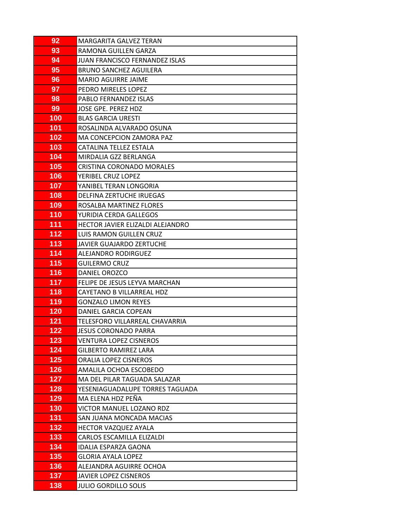| 92         | MARGARITA GALVEZ TERAN                                |
|------------|-------------------------------------------------------|
| 93         | RAMONA GUILLEN GARZA                                  |
| 94         | JUAN FRANCISCO FERNANDEZ ISLAS                        |
| 95         | BRUNO SANCHEZ AGUILERA                                |
| 96         | MARIO AGUIRRE JAIME                                   |
| 97         | PEDRO MIRELES LOPEZ                                   |
| 98         | PABLO FERNANDEZ ISLAS                                 |
| 99         | JOSE GPE. PEREZ HDZ                                   |
| 100        | <b>BLAS GARCIA URESTI</b>                             |
| 101        | ROSALINDA ALVARADO OSUNA                              |
| 102        | MA CONCEPCION ZAMORA PAZ                              |
| 103        | CATALINA TELLEZ ESTALA                                |
| 104        | MIRDALIA GZZ BERLANGA                                 |
| 105        | <b>CRISTINA CORONADO MORALES</b>                      |
| 106        | YERIBEL CRUZ LOPEZ                                    |
| 107        | YANIBEL TERAN LONGORIA                                |
| 108        | DELFINA ZERTUCHE IRUEGAS                              |
| 109        | ROSALBA MARTINEZ FLORES                               |
| 110        | YURIDIA CERDA GALLEGOS                                |
| 111        | HECTOR JAVIER ELIZALDI ALEJANDRO                      |
| 112        | LUIS RAMON GUILLEN CRUZ                               |
| 113        | JAVIER GUAJARDO ZERTUCHE                              |
| 114        | ALEJANDRO RODIRGUEZ                                   |
| 115        | GUILERMO CRUZ                                         |
| 116        | DANIEL OROZCO                                         |
| 117        | FELIPE DE JESUS LEYVA MARCHAN                         |
| 118        | CAYETANO B VILLARREAL HDZ                             |
| 119        | <b>GONZALO LIMON REYES</b>                            |
| 120        | DANIEL GARCIA COPEAN                                  |
| 121<br>122 | TELESFORO VILLARREAL CHAVARRIA                        |
| 123        | JESUS CORONADO PARRA<br><b>VENTURA LOPEZ CISNEROS</b> |
| 124        | <b>GILBERTO RAMIREZ LARA</b>                          |
| 125        | ORALIA LOPEZ CISNEROS                                 |
| 126        | AMALILA OCHOA ESCOBEDO                                |
| 127        | MA DEL PILAR TAGUADA SALAZAR                          |
| 128        | YESENIAGUADALUPE TORRES TAGUADA                       |
| 129        | MA ELENA HDZ PEÑA                                     |
| 130        | VICTOR MANUEL LOZANO RDZ                              |
| 131        | SAN JUANA MONCADA MACIAS                              |
| 132        | HECTOR VAZQUEZ AYALA                                  |
| 133        | CARLOS ESCAMILLA ELIZALDI                             |
| 134        | IDALIA ESPARZA GAONA                                  |
| 135        | GLORIA AYALA LOPEZ                                    |
| 136        | ALEJANDRA AGUIRRE OCHOA                               |
| 137        | JAVIER LOPEZ CISNEROS                                 |
| 138        | <b>JULIO GORDILLO SOLIS</b>                           |